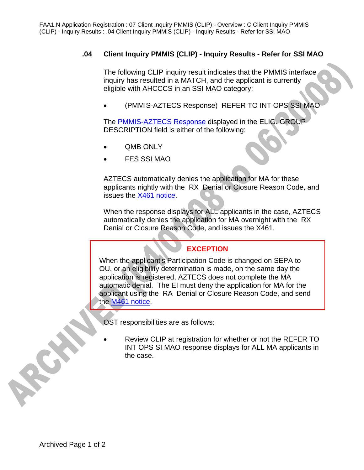## **.04 Client Inquiry PMMIS (CLIP) - Inquiry Results - Refer for SSI MAO**

The following CLIP inquiry result indicates that the PMMIS interface inquiry has resulted in a MATCH, and the applicant is currently eligible with AHCCCS in an SSI MAO category:

• (PMMIS-AZTECS Response) REFER TO INT OPS SSI MAO

The PMMIS-AZTECS Response displayed in the ELIG. GROUP DESCRIPTION field is either of the following:

- **QMB ONLY**
- FES SSI MAO

AZTECS automatically denies the application for MA for these applicants nightly with the RX Denial or Closure Reason Code, and issues the X461 notice.

When the response displays for ALL applicants in the case, AZTECS automatically denies the application for MA overnight with the RX Denial or Closure Reason Code, and issues the X461.

## **EXCEPTION**

When the applicant's Participation Code is changed on SEPA to OU, or an eligibility determination is made, on the same day the application is registered, AZTECS does not complete the MA automatic denial. The EI must deny the application for MA for the applicant using the RA Denial or Closure Reason Code, and send the M461 notice.

OST responsibilities are as follows:

Review CLIP at registration for whether or not the REFER TO INT OPS SI MAO response displays for ALL MA applicants in the case.